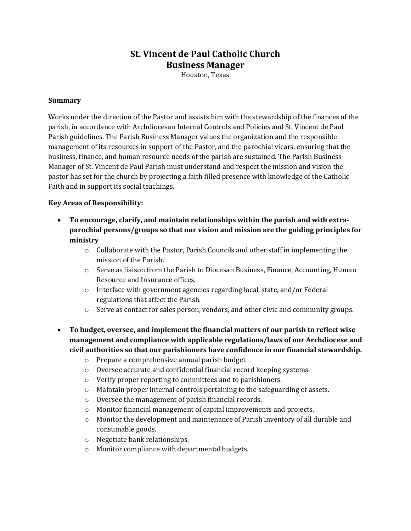# **St. Vincent de Paul Catholic Church Business Manager**

Houston, Texas

#### **Summary**

Works under the direction of the Pastor and assists him with the stewardship of the finances of the parish, in accordance with Archdiocesan Internal Controls and Policies and St. Vincent de Paul Parish guidelines. The Parish Business Manager values the organization and the responsible management of its resources in support of the Pastor, and the parochial vicars, ensuring that the business, finance, and human resource needs of the parish are sustained. The Parish Business Manager of St. Vincent de Paul Parish must understand and respect the mission and vision the pastor has set for the church by projecting a faith filled presence with knowledge of the Catholic Faith and in support its social teachings.

### **Key Areas of Responsibility:**

- **To encourage, clarify, and maintain relationships within the parish and with extraparochial persons/groups so that our vision and mission are the guiding principles for ministry**
	- $\circ$  Collaborate with the Pastor, Parish Councils and other staff in implementing the mission of the Parish.
	- $\circ$  Serve as liaison from the Parish to Diocesan Business, Finance, Accounting, Human Resource and Insurance offices.
	- o Interface with government agencies regarding local, state, and/or Federal regulations that affect the Parish.
	- o Serve as contact for sales person, vendors, and other civic and community groups.
- **To budget, oversee, and implement the financial matters of our parish to reflect wise management and compliance with applicable regulations/laws of our Archdiocese and civil authorities so that our parishioners have confidence in our financial stewardship.**
	- o Prepare a comprehensive annual parish budget
	- o Oversee accurate and confidential financial record keeping systems.
	- o Verify proper reporting to committees and to parishioners.
	- $\circ$  Maintain proper internal controls pertaining to the safeguarding of assets.
	- o Oversee the management of parish financial records.
	- o Monitor financial management of capital improvements and projects.
	- o Monitor the development and maintenance of Parish inventory of all durable and consumable goods.
	- o Negotiate bank relationships.
	- o Monitor compliance with departmental budgets.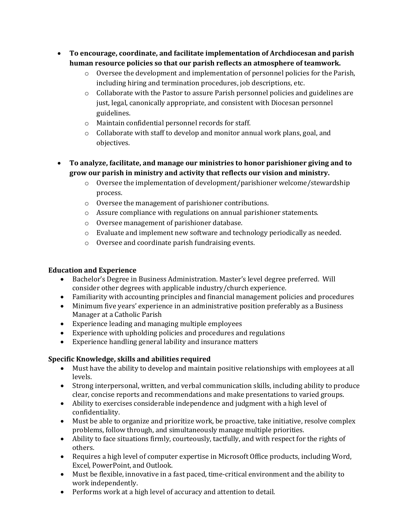- **To encourage, coordinate, and facilitate implementation of Archdiocesan and parish human resource policies so that our parish reflects an atmosphere of teamwork.**
	- o Oversee the development and implementation of personnel policies for the Parish, including hiring and termination procedures, job descriptions, etc.
	- $\circ$  Collaborate with the Pastor to assure Parish personnel policies and guidelines are just, legal, canonically appropriate, and consistent with Diocesan personnel guidelines.
	- o Maintain confidential personnel records for staff.
	- o Collaborate with staff to develop and monitor annual work plans, goal, and objectives.
- **To analyze, facilitate, and manage our ministries to honor parishioner giving and to grow our parish in ministry and activity that reflects our vision and ministry.**
	- $\circ$  Oversee the implementation of development/parishioner welcome/stewardship process.
	- o Oversee the management of parishioner contributions.
	- $\circ$  Assure compliance with regulations on annual parishioner statements.
	- o Oversee management of parishioner database.
	- $\circ$  Evaluate and implement new software and technology periodically as needed.
	- o Oversee and coordinate parish fundraising events.

### **Education and Experience**

- Bachelor's Degree in Business Administration. Master's level degree preferred. Will consider other degrees with applicable industry/church experience.
- Familiarity with accounting principles and financial management policies and procedures
- Minimum five years' experience in an administrative position preferably as a Business Manager at a Catholic Parish
- Experience leading and managing multiple employees
- Experience with upholding policies and procedures and regulations
- Experience handling general lability and insurance matters

## **Specific Knowledge, skills and abilities required**

- Must have the ability to develop and maintain positive relationships with employees at all levels.
- Strong interpersonal, written, and verbal communication skills, including ability to produce clear, concise reports and recommendations and make presentations to varied groups.
- Ability to exercises considerable independence and judgment with a high level of confidentiality.
- Must be able to organize and prioritize work, be proactive, take initiative, resolve complex problems, follow through, and simultaneously manage multiple priorities.
- Ability to face situations firmly, courteously, tactfully, and with respect for the rights of others.
- Requires a high level of computer expertise in Microsoft Office products, including Word, Excel, PowerPoint, and Outlook.
- Must be flexible, innovative in a fast paced, time-critical environment and the ability to work independently.
- Performs work at a high level of accuracy and attention to detail.